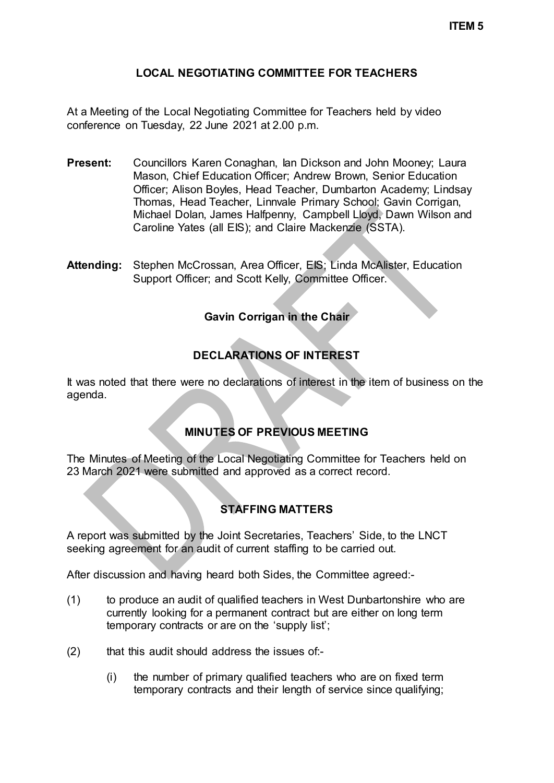### **LOCAL NEGOTIATING COMMITTEE FOR TEACHERS**

At a Meeting of the Local Negotiating Committee for Teachers held by video conference on Tuesday, 22 June 2021 at 2.00 p.m.

- **Present:** Councillors Karen Conaghan, Ian Dickson and John Mooney; Laura Mason, Chief Education Officer; Andrew Brown, Senior Education Officer; Alison Boyles, Head Teacher, Dumbarton Academy; Lindsay Thomas, Head Teacher, Linnvale Primary School; Gavin Corrigan, Michael Dolan, James Halfpenny, Campbell Lloyd, Dawn Wilson and Caroline Yates (all EIS); and Claire Mackenzie (SSTA).
- **Attending:** Stephen McCrossan, Area Officer, EIS; Linda McAlister, Education Support Officer; and Scott Kelly, Committee Officer.

## **Gavin Corrigan in the Chair**

# **DECLARATIONS OF INTEREST**

It was noted that there were no declarations of interest in the item of business on the agenda.

#### **MINUTES OF PREVIOUS MEETING**

The Minutes of Meeting of the Local Negotiating Committee for Teachers held on 23 March 2021 were submitted and approved as a correct record.

## **STAFFING MATTERS**

A report was submitted by the Joint Secretaries, Teachers' Side, to the LNCT seeking agreement for an audit of current staffing to be carried out.

After discussion and having heard both Sides, the Committee agreed:-

- (1) to produce an audit of qualified teachers in West Dunbartonshire who are currently looking for a permanent contract but are either on long term temporary contracts or are on the 'supply list';
- (2) that this audit should address the issues of:-
	- (i) the number of primary qualified teachers who are on fixed term temporary contracts and their length of service since qualifying;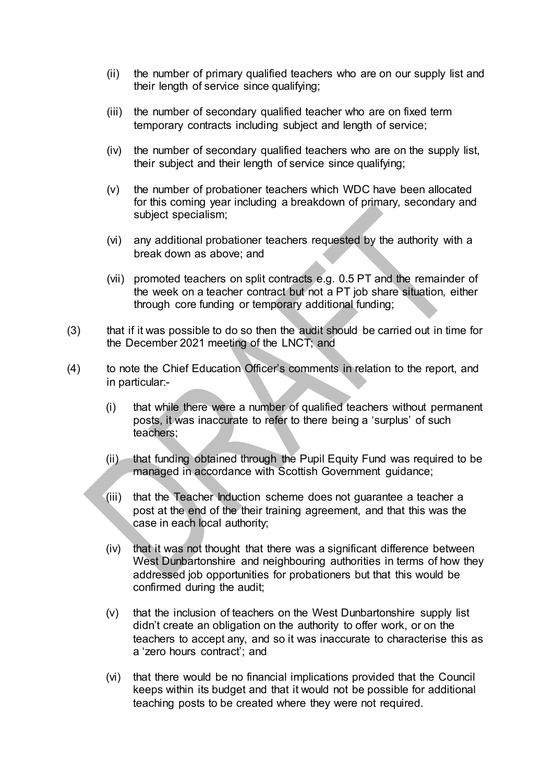- (ii) the number of primary qualified teachers who are on our supply list and their length of service since qualifying;
- (iii) the number of secondary qualified teacher who are on fixed term temporary contracts including subject and length of service;
- (iv) the number of secondary qualified teachers who are on the supply list, their subject and their length of service since qualifying;
- (v) the number of probationer teachers which WDC have been allocated for this coming year including a breakdown of primary, secondary and subject specialism;
- (vi) any additional probationer teachers requested by the authority with a break down as above; and
- (vii) promoted teachers on split contracts e.g. 0.5 PT and the remainder of the week on a teacher contract but not a PT job share situation, either through core funding or temporary additional funding;
- (3) that if it was possible to do so then the audit should be carried out in time for the December 2021 meeting of the LNCT; and
- (4) to note the Chief Education Officer's comments in relation to the report, and in particular:-
	- (i) that while there were a number of qualified teachers without permanent posts, it was inaccurate to refer to there being a 'surplus' of such teachers;
	- (ii) that funding obtained through the Pupil Equity Fund was required to be managed in accordance with Scottish Government guidance;
	- (iii) that the Teacher Induction scheme does not guarantee a teacher a post at the end of the their training agreement, and that this was the case in each local authority;
	- (iv) that it was not thought that there was a significant difference between West Dunbartonshire and neighbouring authorities in terms of how they addressed job opportunities for probationers but that this would be confirmed during the audit;
	- (v) that the inclusion of teachers on the West Dunbartonshire supply list didn't create an obligation on the authority to offer work, or on the teachers to accept any, and so it was inaccurate to characterise this as a 'zero hours contract'; and
	- (vi) that there would be no financial implications provided that the Council keeps within its budget and that it would not be possible for additional teaching posts to be created where they were not required.